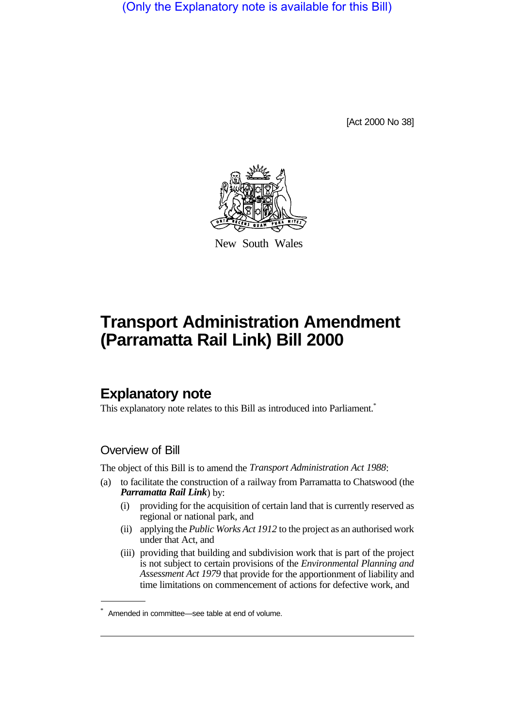(Only the Explanatory note is available for this Bill)

[Act 2000 No 38]



New South Wales

# **Transport Administration Amendment (Parramatta Rail Link) Bill 2000**

## **Explanatory note**

This explanatory note relates to this Bill as introduced into Parliament.<sup>\*</sup>

### Overview of Bill

The object of this Bill is to amend the *Transport Administration Act 1988*:

- (a) to facilitate the construction of a railway from Parramatta to Chatswood (the *Parramatta Rail Link*) by:
	- (i) providing for the acquisition of certain land that is currently reserved as regional or national park, and
	- (ii) applying the *Public Works Act 1912* to the project as an authorised work under that Act, and
	- (iii) providing that building and subdivision work that is part of the project is not subject to certain provisions of the *Environmental Planning and Assessment Act 1979* that provide for the apportionment of liability and time limitations on commencement of actions for defective work, and

<sup>\*</sup> Amended in committee—see table at end of volume.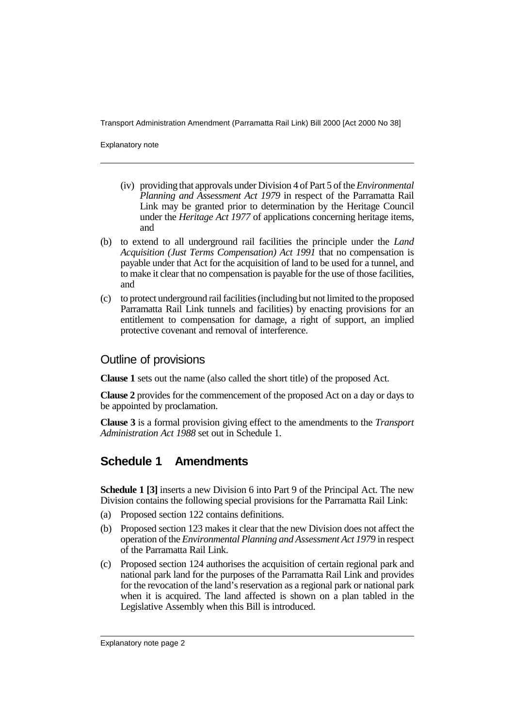Transport Administration Amendment (Parramatta Rail Link) Bill 2000 [Act 2000 No 38]

Explanatory note

- (iv) providing that approvals under Division 4 of Part 5 of the *Environmental Planning and Assessment Act 1979* in respect of the Parramatta Rail Link may be granted prior to determination by the Heritage Council under the *Heritage Act 1977* of applications concerning heritage items, and
- (b) to extend to all underground rail facilities the principle under the *Land Acquisition (Just Terms Compensation) Act 1991* that no compensation is payable under that Act for the acquisition of land to be used for a tunnel, and to make it clear that no compensation is payable for the use of those facilities, and
- (c) to protect underground rail facilities (including but not limited to the proposed Parramatta Rail Link tunnels and facilities) by enacting provisions for an entitlement to compensation for damage, a right of support, an implied protective covenant and removal of interference.

#### Outline of provisions

**Clause 1** sets out the name (also called the short title) of the proposed Act.

**Clause 2** provides for the commencement of the proposed Act on a day or days to be appointed by proclamation.

**Clause 3** is a formal provision giving effect to the amendments to the *Transport Administration Act 1988* set out in Schedule 1.

## **Schedule 1 Amendments**

**Schedule 1 [3]** inserts a new Division 6 into Part 9 of the Principal Act. The new Division contains the following special provisions for the Parramatta Rail Link:

- (a) Proposed section 122 contains definitions.
- (b) Proposed section 123 makes it clear that the new Division does not affect the operation of the *Environmental Planning and Assessment Act 1979* in respect of the Parramatta Rail Link.
- (c) Proposed section 124 authorises the acquisition of certain regional park and national park land for the purposes of the Parramatta Rail Link and provides for the revocation of the land's reservation as a regional park or national park when it is acquired. The land affected is shown on a plan tabled in the Legislative Assembly when this Bill is introduced.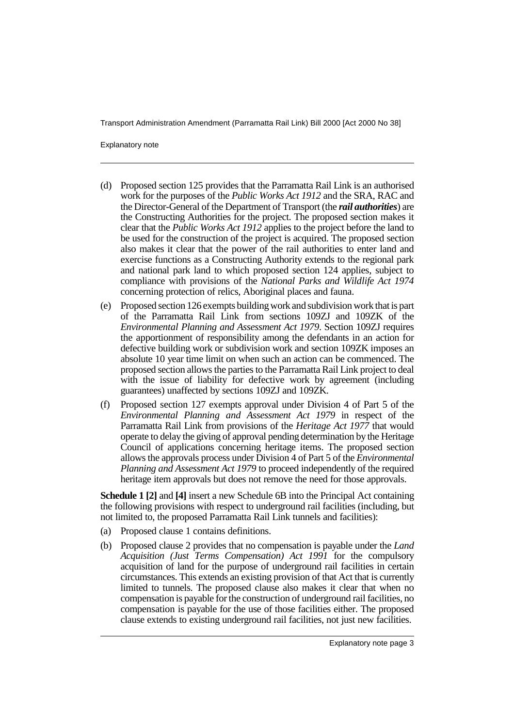Transport Administration Amendment (Parramatta Rail Link) Bill 2000 [Act 2000 No 38]

Explanatory note

- (d) Proposed section 125 provides that the Parramatta Rail Link is an authorised work for the purposes of the *Public Works Act 1912* and the SRA, RAC and the Director-General of the Department of Transport (the *rail authorities*) are the Constructing Authorities for the project. The proposed section makes it clear that the *Public Works Act 1912* applies to the project before the land to be used for the construction of the project is acquired. The proposed section also makes it clear that the power of the rail authorities to enter land and exercise functions as a Constructing Authority extends to the regional park and national park land to which proposed section 124 applies, subject to compliance with provisions of the *National Parks and Wildlife Act 1974* concerning protection of relics, Aboriginal places and fauna.
- (e) Proposed section 126 exempts building work and subdivision work that is part of the Parramatta Rail Link from sections 109ZJ and 109ZK of the *Environmental Planning and Assessment Act 1979*. Section 109ZJ requires the apportionment of responsibility among the defendants in an action for defective building work or subdivision work and section 109ZK imposes an absolute 10 year time limit on when such an action can be commenced. The proposed section allows the parties to the Parramatta Rail Link project to deal with the issue of liability for defective work by agreement (including guarantees) unaffected by sections 109ZJ and 109ZK.
- (f) Proposed section 127 exempts approval under Division 4 of Part 5 of the *Environmental Planning and Assessment Act 1979* in respect of the Parramatta Rail Link from provisions of the *Heritage Act 1977* that would operate to delay the giving of approval pending determination by the Heritage Council of applications concerning heritage items. The proposed section allows the approvals process under Division 4 of Part 5 of the *Environmental Planning and Assessment Act 1979* to proceed independently of the required heritage item approvals but does not remove the need for those approvals.

**Schedule 1 [2]** and **[4]** insert a new Schedule 6B into the Principal Act containing the following provisions with respect to underground rail facilities (including, but not limited to, the proposed Parramatta Rail Link tunnels and facilities):

- (a) Proposed clause 1 contains definitions.
- (b) Proposed clause 2 provides that no compensation is payable under the *Land Acquisition (Just Terms Compensation) Act 1991* for the compulsory acquisition of land for the purpose of underground rail facilities in certain circumstances. This extends an existing provision of that Act that is currently limited to tunnels. The proposed clause also makes it clear that when no compensation is payable for the construction of underground rail facilities, no compensation is payable for the use of those facilities either. The proposed clause extends to existing underground rail facilities, not just new facilities.